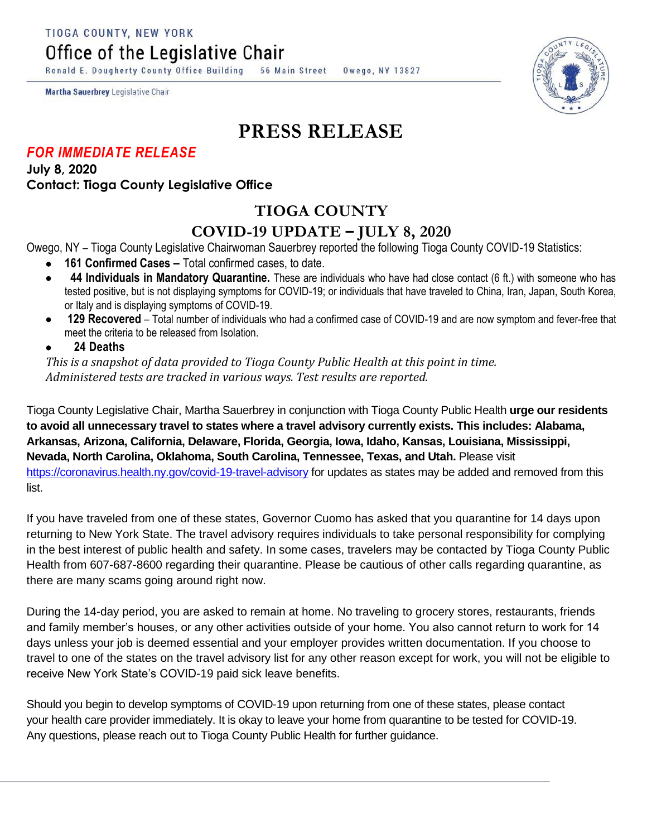TIOGA COUNTY, NEW YORK

Office of the Legislative Chair

Ronald E. Dougherty County Office Building 56 Main Street Owego, NY 13827

Martha Sauerbrey Legislative Chair

## **PRESS RELEASE**

## *FOR IMMEDIATE RELEASE*

**July 8, 2020 Contact: Tioga County Legislative Office**

## **TIOGA COUNTY**

## **COVID-19 UPDATE – JULY 8, 2020**

Owego, NY – Tioga County Legislative Chairwoman Sauerbrey reported the following Tioga County COVID-19 Statistics:

- **161 Confirmed Cases –** Total confirmed cases, to date.
- **44 Individuals in Mandatory Quarantine.** These are individuals who have had close contact (6 ft.) with someone who has tested positive, but is not displaying symptoms for COVID-19; or individuals that have traveled to China, Iran, Japan, South Korea, or Italy and is displaying symptoms of COVID-19.
- **129 Recovered**  Total number of individuals who had a confirmed case of COVID-19 and are now symptom and fever-free that meet the criteria to be released from Isolation.
- **24 Deaths**

*This is a snapshot of data provided to Tioga County Public Health at this point in time. Administered tests are tracked in various ways. Test results are reported.*

Tioga County Legislative Chair, Martha Sauerbrey in conjunction with Tioga County Public Health **urge our residents to avoid all unnecessary travel to states where a travel advisory currently exists. This includes: Alabama, Arkansas, Arizona, California, Delaware, Florida, Georgia, Iowa, Idaho, Kansas, Louisiana, Mississippi, Nevada, North Carolina, Oklahoma, South Carolina, Tennessee, Texas, and Utah.** Please visit <https://coronavirus.health.ny.gov/covid-19-travel-advisory> for updates as states may be added and removed from this list.

If you have traveled from one of these states, Governor Cuomo has asked that you quarantine for 14 days upon returning to New York State. The travel advisory requires individuals to take personal responsibility for complying in the best interest of public health and safety. In some cases, travelers may be contacted by Tioga County Public Health from 607-687-8600 regarding their quarantine. Please be cautious of other calls regarding quarantine, as there are many scams going around right now.

During the 14-day period, you are asked to remain at home. No traveling to grocery stores, restaurants, friends and family member's houses, or any other activities outside of your home. You also cannot return to work for 14 days unless your job is deemed essential and your employer provides written documentation. If you choose to travel to one of the states on the travel advisory list for any other reason except for work, you will not be eligible to receive New York State's COVID-19 paid sick leave benefits.

Should you begin to develop symptoms of COVID-19 upon returning from one of these states, please contact your health care provider immediately. It is okay to leave your home from quarantine to be tested for COVID-19. Any questions, please reach out to Tioga County Public Health for further guidance.